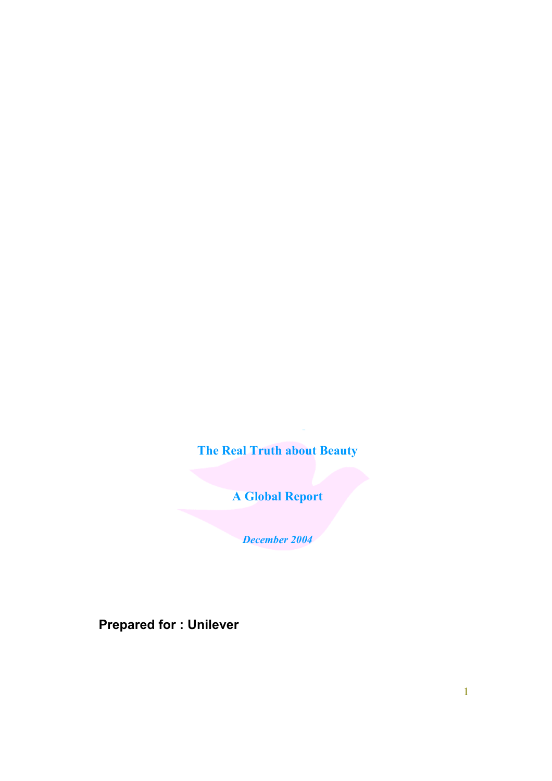**B** E Y O N D T H E W **The Real Truth about Beauty**

**A Global Report**

*December 2004*

**Prepared for : Unilever**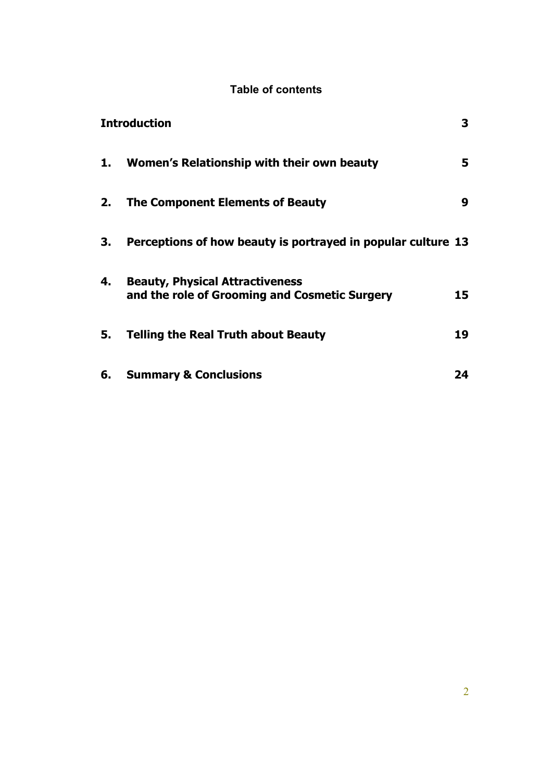#### **Table of contents**

|    | <b>Introduction</b>                                                                     | 3  |
|----|-----------------------------------------------------------------------------------------|----|
| 1. | Women's Relationship with their own beauty                                              | 5  |
| 2. | The Component Elements of Beauty                                                        | 9  |
| З. | Perceptions of how beauty is portrayed in popular culture 13                            |    |
| 4. | <b>Beauty, Physical Attractiveness</b><br>and the role of Grooming and Cosmetic Surgery | 15 |
| 5. | <b>Telling the Real Truth about Beauty</b>                                              | 19 |
| 6. | <b>Summary &amp; Conclusions</b>                                                        | 24 |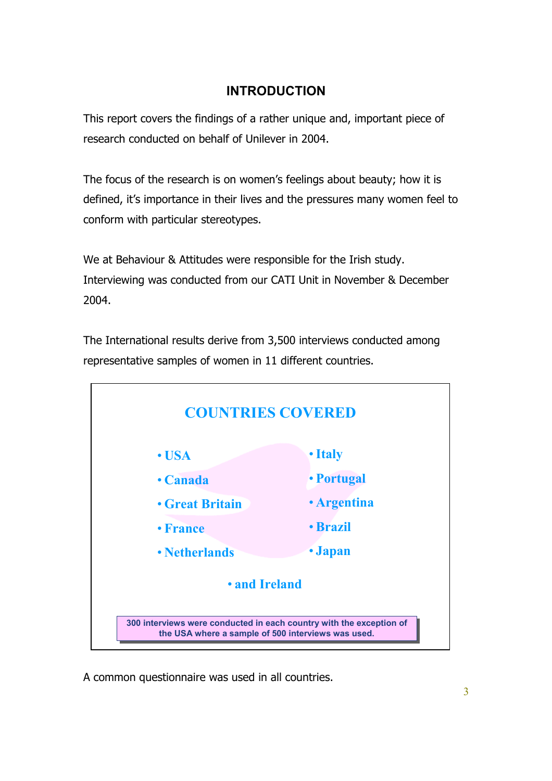## **INTRODUCTION**

<span id="page-2-0"></span>This report covers the findings of a rather unique and, important piece of research conducted on behalf of Unilever in 2004.

The focus of the research is on women's feelings about beauty; how it is defined, it's importance in their lives and the pressures many women feel to conform with particular stereotypes.

We at Behaviour & Attitudes were responsible for the Irish study. Interviewing was conducted from our CATI Unit in November & December 2004.

The International results derive from 3,500 interviews conducted among representative samples of women in 11 different countries.



A common questionnaire was used in all countries.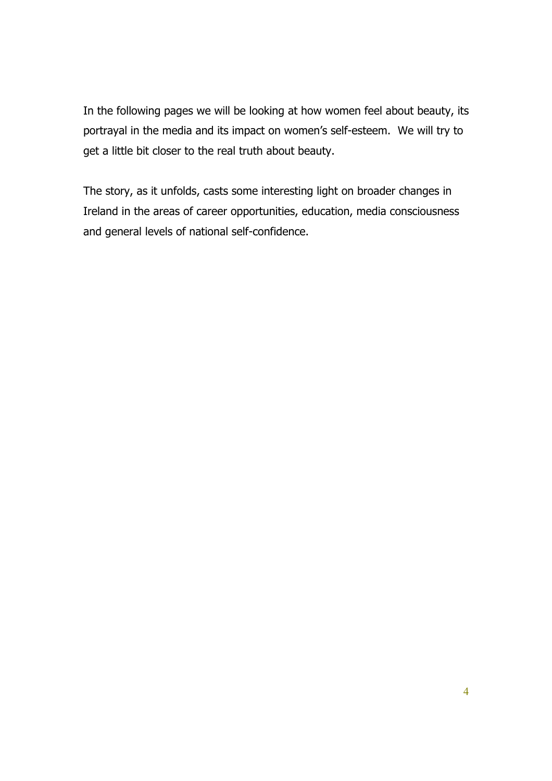In the following pages we will be looking at how women feel about beauty, its portrayal in the media and its impact on women's self-esteem. We will try to get a little bit closer to the real truth about beauty.

The story, as it unfolds, casts some interesting light on broader changes in Ireland in the areas of career opportunities, education, media consciousness and general levels of national self-confidence.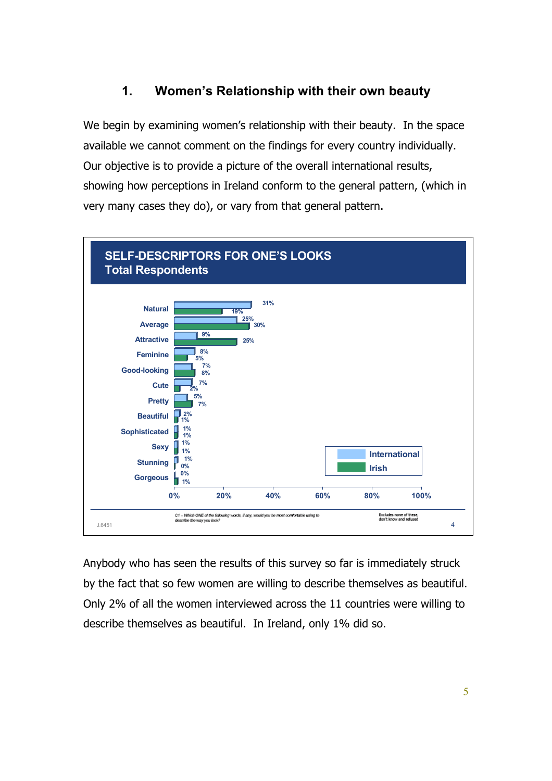## **1. Women's Relationship with their own beauty**

<span id="page-4-0"></span>We begin by examining women's relationship with their beauty. In the space available we cannot comment on the findings for every country individually. Our objective is to provide a picture of the overall international results, showing how perceptions in Ireland conform to the general pattern, (which in very many cases they do), or vary from that general pattern.



Anybody who has seen the results of this survey so far is immediately struck by the fact that so few women are willing to describe themselves as beautiful. Only 2% of all the women interviewed across the 11 countries were willing to describe themselves as beautiful. In Ireland, only 1% did so.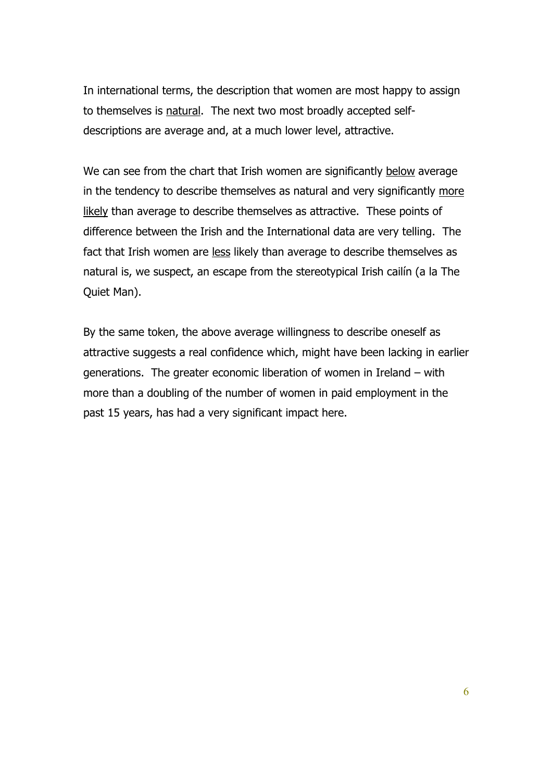In international terms, the description that women are most happy to assign to themselves is natural. The next two most broadly accepted selfdescriptions are average and, at a much lower level, attractive.

We can see from the chart that Irish women are significantly below average in the tendency to describe themselves as natural and very significantly more likely than average to describe themselves as attractive. These points of difference between the Irish and the International data are very telling. The fact that Irish women are less likely than average to describe themselves as natural is, we suspect, an escape from the stereotypical Irish cailín (a la The Quiet Man).

By the same token, the above average willingness to describe oneself as attractive suggests a real confidence which, might have been lacking in earlier generations. The greater economic liberation of women in Ireland – with more than a doubling of the number of women in paid employment in the past 15 years, has had a very significant impact here.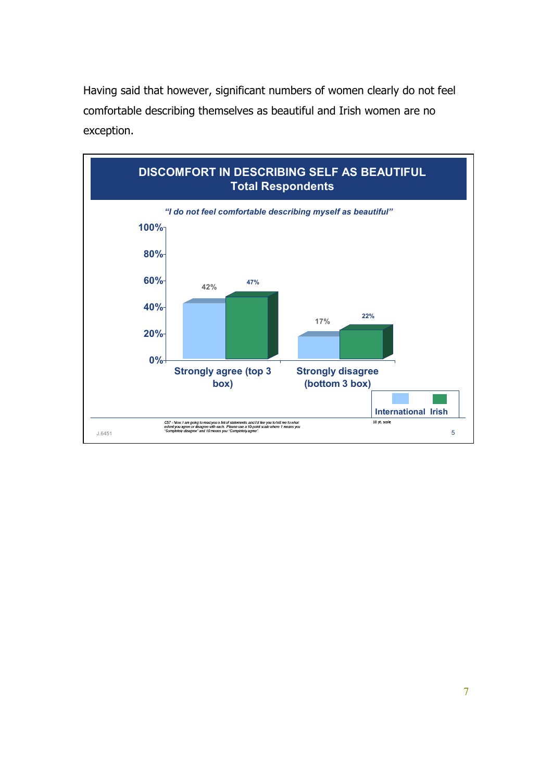Having said that however, significant numbers of women clearly do not feel comfortable describing themselves as beautiful and Irish women are no exception.

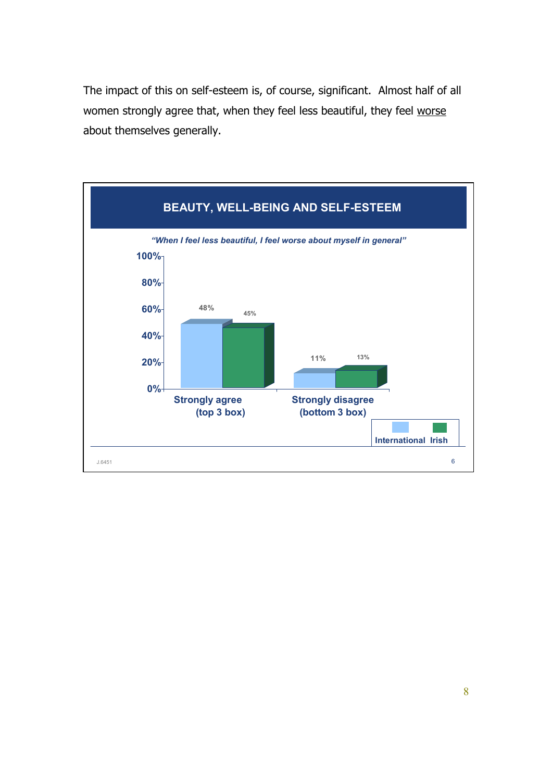The impact of this on self-esteem is, of course, significant. Almost half of all women strongly agree that, when they feel less beautiful, they feel worse about themselves generally.

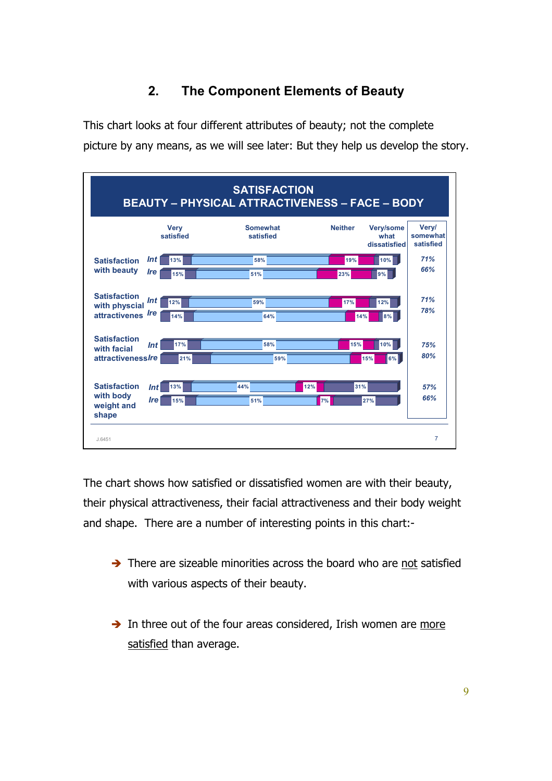# **2. The Component Elements of Beauty**

<span id="page-8-0"></span>This chart looks at four different attributes of beauty; not the complete picture by any means, as we will see later: But they help us develop the story.

| <b>SATISFACTION</b><br><b>BEAUTY - PHYSICAL ATTRACTIVENESS - FACE - BODY</b> |                                 |                              |                                                     |                                       |  |  |
|------------------------------------------------------------------------------|---------------------------------|------------------------------|-----------------------------------------------------|---------------------------------------|--|--|
|                                                                              | <b>Very</b><br>satisfied        | <b>Somewhat</b><br>satisfied | <b>Neither</b><br>Very/some<br>what<br>dissatisfied | <b>Very/</b><br>somewhat<br>satisfied |  |  |
| <b>Satisfaction</b>                                                          | Int<br>13%                      | 58%                          | 10%<br>19%                                          | 71%                                   |  |  |
| with beauty                                                                  | <i><u><b>Ire</b></u></i><br>15% | 51%                          | 9%<br>23%                                           | 66%                                   |  |  |
| <b>Satisfaction</b><br>with physcial<br>attractivenes Ire                    | Int<br>12%<br>14%               | 59%<br>64%                   | 12%<br>17%<br>14%<br>8%                             | 71%<br>78%                            |  |  |
| <b>Satisfaction</b><br>with facial                                           | 17%<br>Int                      | 58%                          | 10%<br>15%                                          | 75%<br>80%                            |  |  |
| attractivenessire                                                            | 21%                             | 59%                          | 6%<br>15%                                           |                                       |  |  |
| <b>Satisfaction</b>                                                          | Int<br>13%                      | 44%<br>12%                   | 31%                                                 | 57%                                   |  |  |
| with body<br>weight and<br>shape                                             | re <br>15%                      | 51%                          | 7%<br>27%                                           | 66%                                   |  |  |
| J.6451                                                                       |                                 |                              |                                                     | $\overline{7}$                        |  |  |

The chart shows how satisfied or dissatisfied women are with their beauty, their physical attractiveness, their facial attractiveness and their body weight and shape. There are a number of interesting points in this chart:-

- $\rightarrow$  There are sizeable minorities across the board who are not satisfied with various aspects of their beauty.
- $\rightarrow$  In three out of the four areas considered, Irish women are more satisfied than average.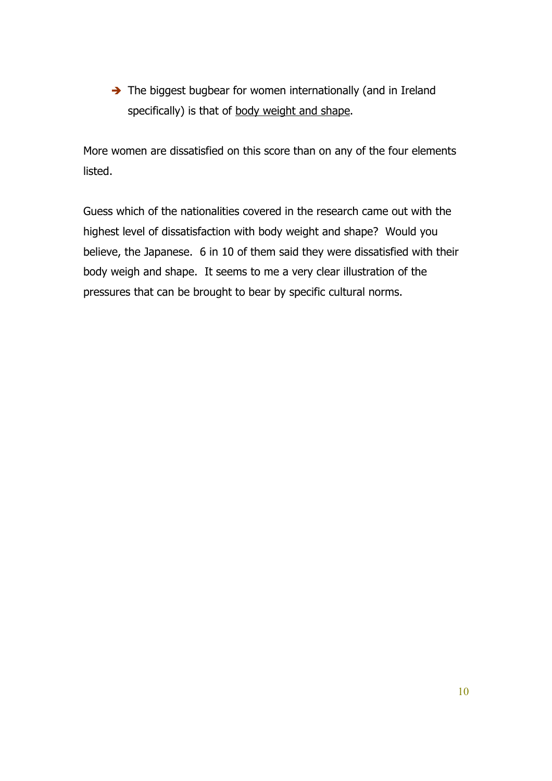$\rightarrow$  The biggest bugbear for women internationally (and in Ireland specifically) is that of body weight and shape.

More women are dissatisfied on this score than on any of the four elements listed.

Guess which of the nationalities covered in the research came out with the highest level of dissatisfaction with body weight and shape? Would you believe, the Japanese. 6 in 10 of them said they were dissatisfied with their body weigh and shape. It seems to me a very clear illustration of the pressures that can be brought to bear by specific cultural norms.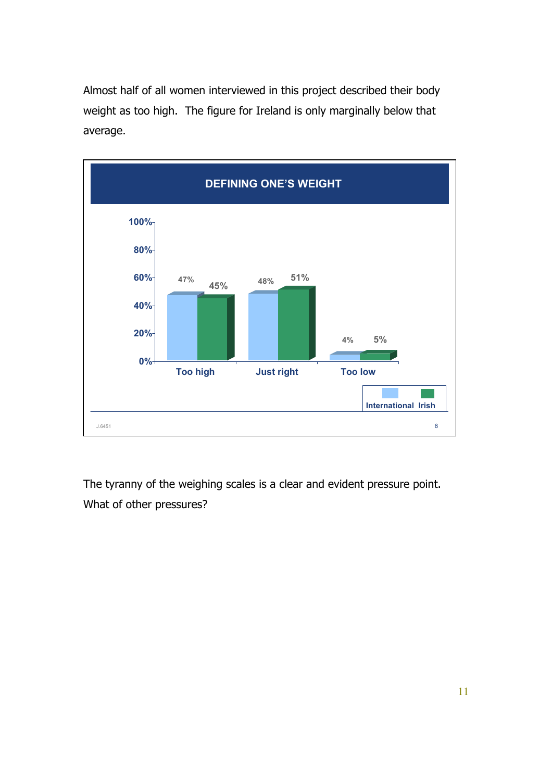Almost half of all women interviewed in this project described their body weight as too high. The figure for Ireland is only marginally below that average.



The tyranny of the weighing scales is a clear and evident pressure point. What of other pressures?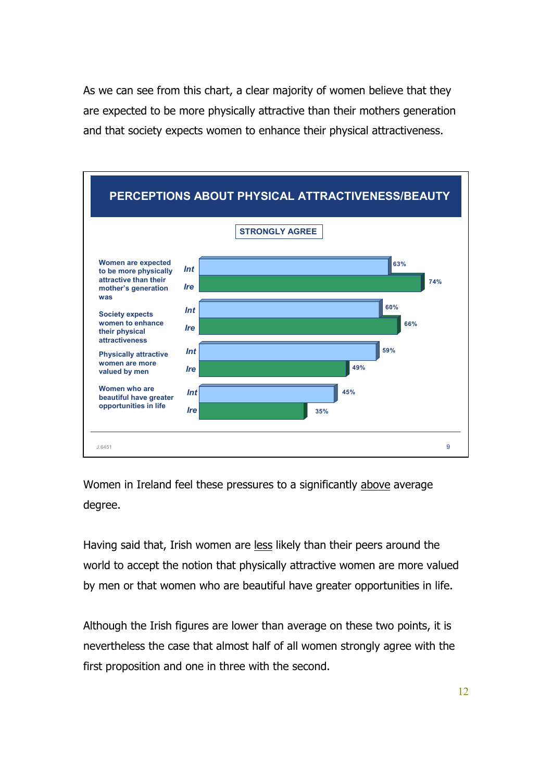As we can see from this chart, a clear majority of women believe that they are expected to be more physically attractive than their mothers generation and that society expects women to enhance their physical attractiveness.



Women in Ireland feel these pressures to a significantly above average degree.

Having said that, Irish women are less likely than their peers around the world to accept the notion that physically attractive women are more valued by men or that women who are beautiful have greater opportunities in life.

Although the Irish figures are lower than average on these two points, it is nevertheless the case that almost half of all women strongly agree with the first proposition and one in three with the second.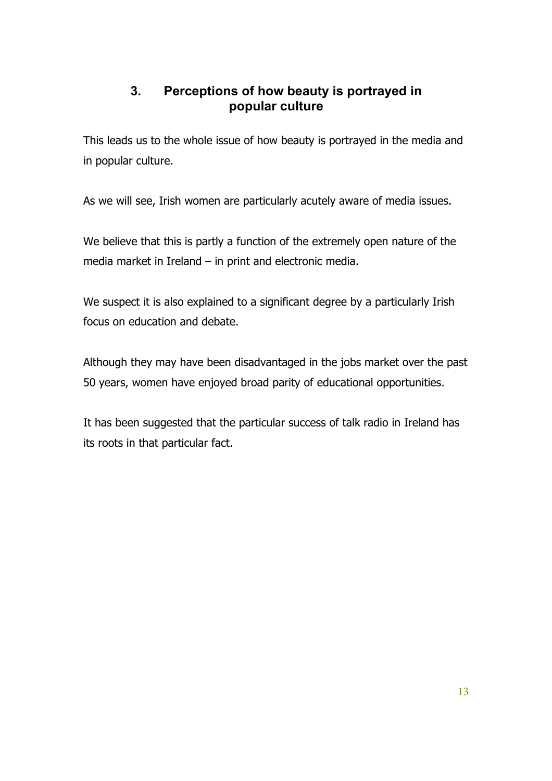### <span id="page-12-0"></span>**3. Perceptions of how beauty is portrayed in popular culture**

This leads us to the whole issue of how beauty is portrayed in the media and in popular culture.

As we will see, Irish women are particularly acutely aware of media issues.

We believe that this is partly a function of the extremely open nature of the media market in Ireland – in print and electronic media.

We suspect it is also explained to a significant degree by a particularly Irish focus on education and debate.

Although they may have been disadvantaged in the jobs market over the past 50 years, women have enjoyed broad parity of educational opportunities.

It has been suggested that the particular success of talk radio in Ireland has its roots in that particular fact.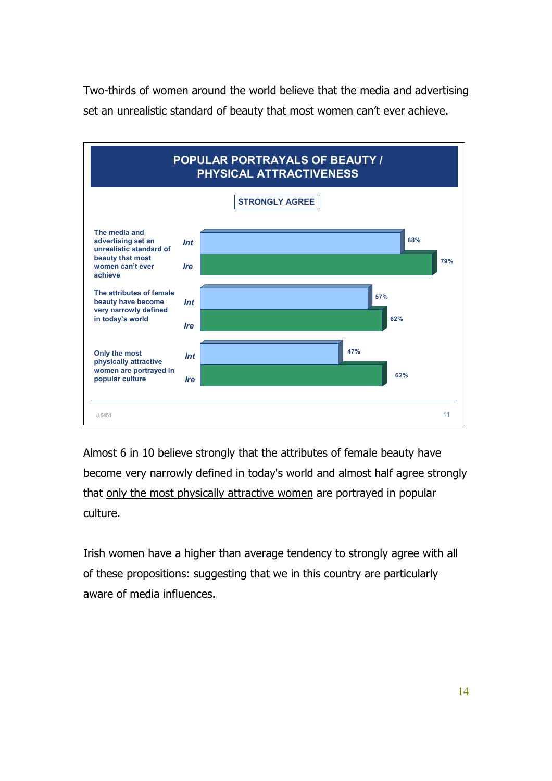Two-thirds of women around the world believe that the media and advertising set an unrealistic standard of beauty that most women can't ever achieve.



Almost 6 in 10 believe strongly that the attributes of female beauty have become very narrowly defined in today's world and almost half agree strongly that only the most physically attractive women are portrayed in popular culture.

Irish women have a higher than average tendency to strongly agree with all of these propositions: suggesting that we in this country are particularly aware of media influences.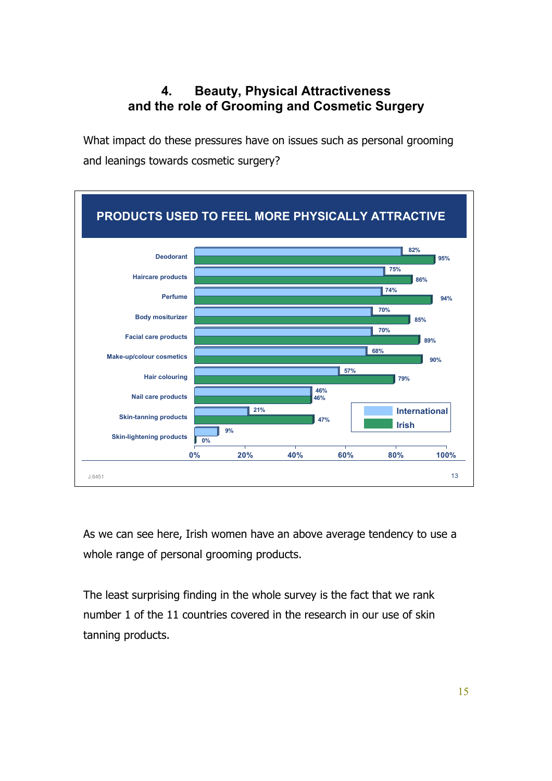### <span id="page-14-0"></span>**4. Beauty, Physical Attractiveness and the role of Grooming and Cosmetic Surgery**

What impact do these pressures have on issues such as personal grooming and leanings towards cosmetic surgery?



As we can see here, Irish women have an above average tendency to use a whole range of personal grooming products.

The least surprising finding in the whole survey is the fact that we rank number 1 of the 11 countries covered in the research in our use of skin tanning products.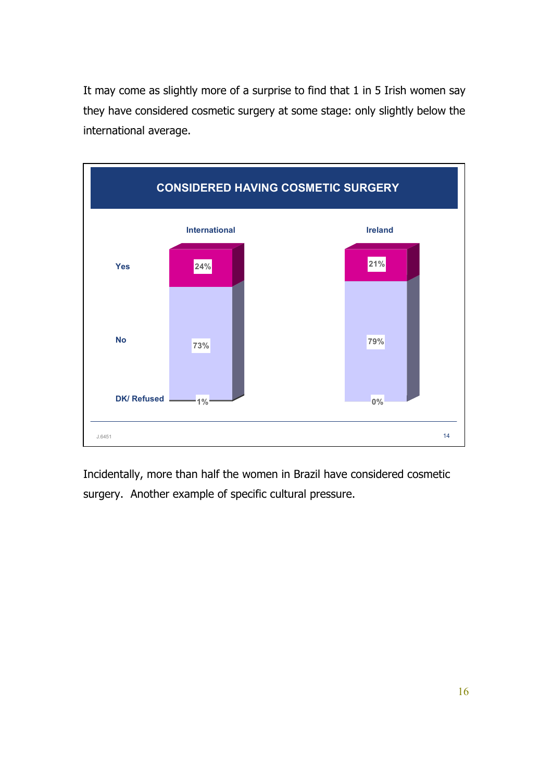It may come as slightly more of a surprise to find that 1 in 5 Irish women say they have considered cosmetic surgery at some stage: only slightly below the international average.



Incidentally, more than half the women in Brazil have considered cosmetic surgery. Another example of specific cultural pressure.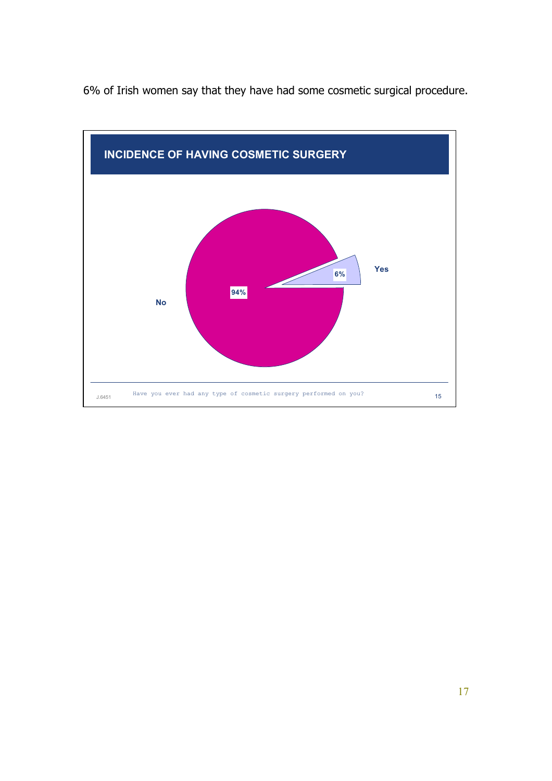

6% of Irish women say that they have had some cosmetic surgical procedure.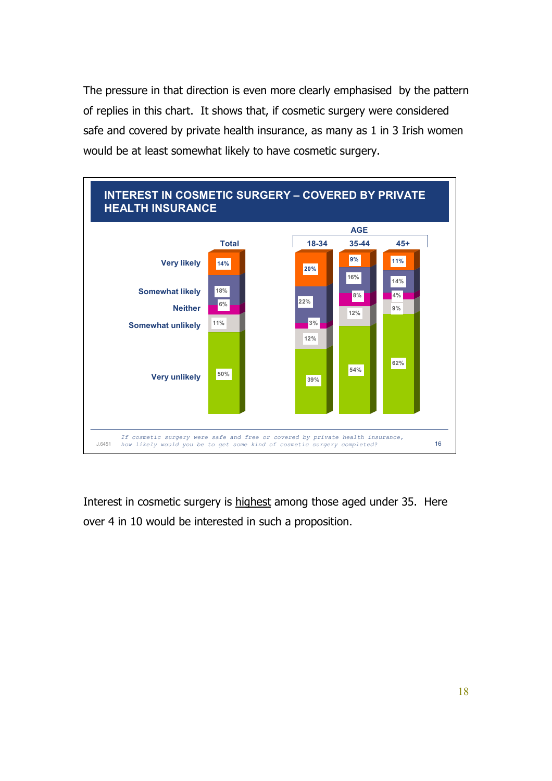The pressure in that direction is even more clearly emphasised by the pattern of replies in this chart. It shows that, if cosmetic surgery were considered safe and covered by private health insurance, as many as 1 in 3 Irish women would be at least somewhat likely to have cosmetic surgery.



Interest in cosmetic surgery is highest among those aged under 35. Here over 4 in 10 would be interested in such a proposition.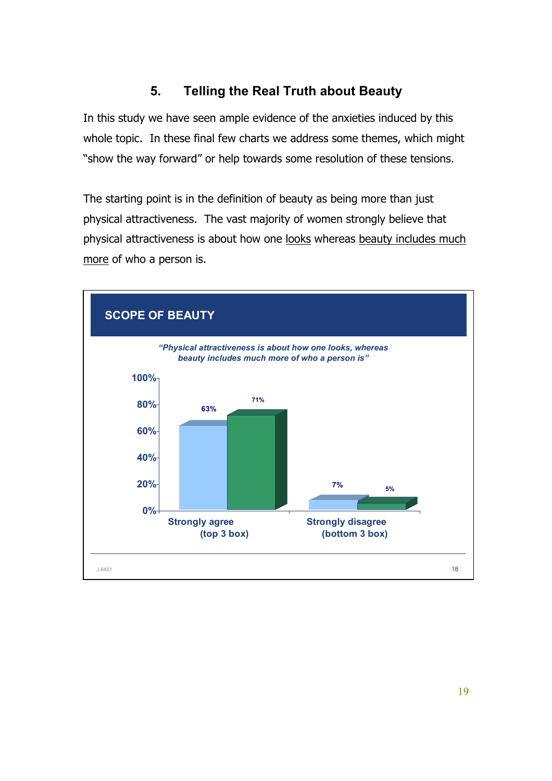# **5. Telling the Real Truth about Beauty**

<span id="page-18-0"></span>In this study we have seen ample evidence of the anxieties induced by this whole topic. In these final few charts we address some themes, which might "show the way forward" or help towards some resolution of these tensions.

The starting point is in the definition of beauty as being more than just physical attractiveness. The vast majority of women strongly believe that physical attractiveness is about how one looks whereas beauty includes much more of who a person is.

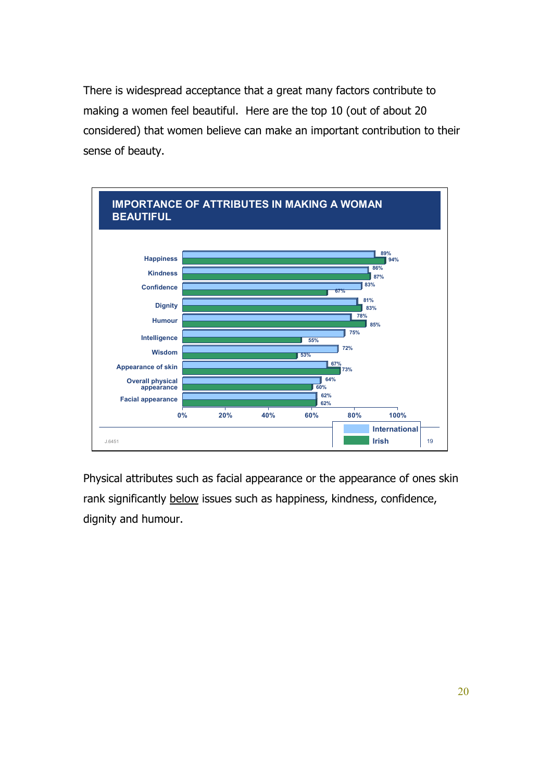There is widespread acceptance that a great many factors contribute to making a women feel beautiful. Here are the top 10 (out of about 20 considered) that women believe can make an important contribution to their sense of beauty.



Physical attributes such as facial appearance or the appearance of ones skin rank significantly below issues such as happiness, kindness, confidence, dignity and humour.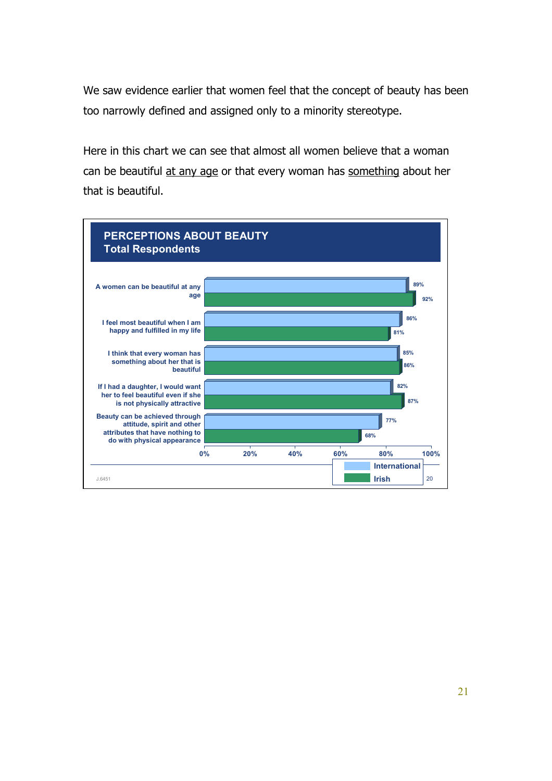We saw evidence earlier that women feel that the concept of beauty has been too narrowly defined and assigned only to a minority stereotype.

Here in this chart we can see that almost all women believe that a woman can be beautiful at any age or that every woman has something about her that is beautiful.

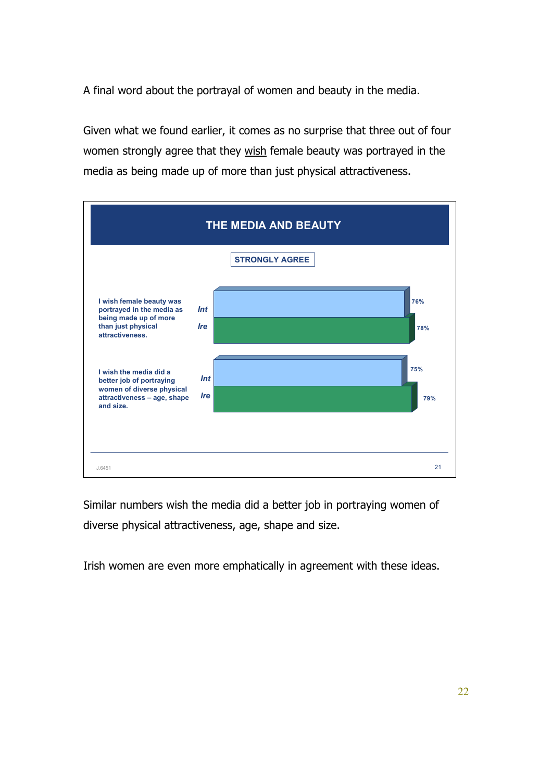A final word about the portrayal of women and beauty in the media.

Given what we found earlier, it comes as no surprise that three out of four women strongly agree that they wish female beauty was portrayed in the media as being made up of more than just physical attractiveness.



Similar numbers wish the media did a better job in portraying women of diverse physical attractiveness, age, shape and size.

Irish women are even more emphatically in agreement with these ideas.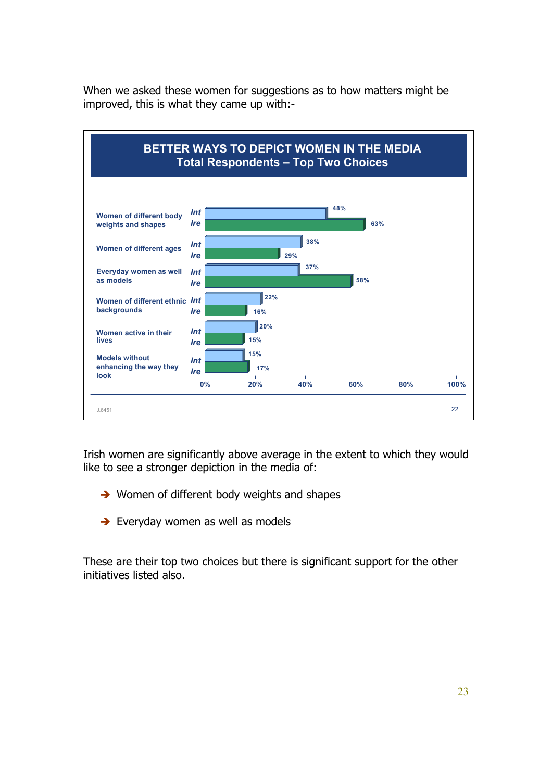

When we asked these women for suggestions as to how matters might be improved, this is what they came up with:-

Irish women are significantly above average in the extent to which they would like to see a stronger depiction in the media of:

- $\rightarrow$  Women of different body weights and shapes
- $\rightarrow$  Everyday women as well as models

These are their top two choices but there is significant support for the other initiatives listed also.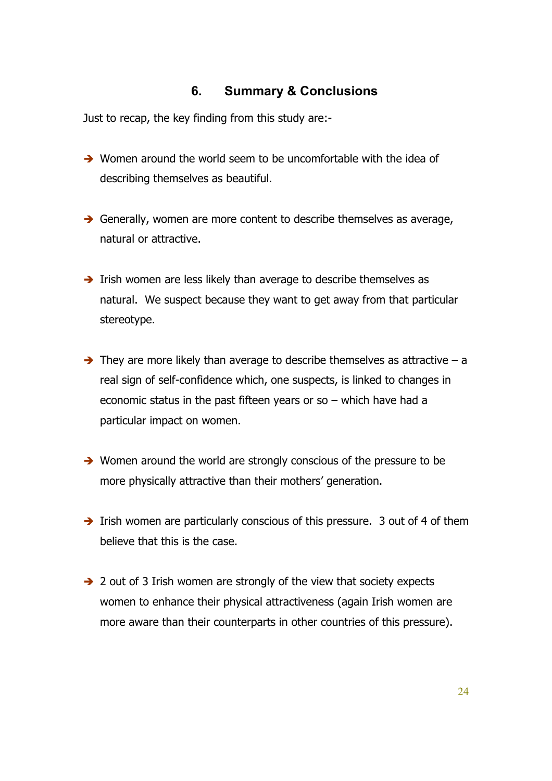#### **6. Summary & Conclusions**

<span id="page-23-0"></span>Just to recap, the key finding from this study are:-

- $\rightarrow$  Women around the world seem to be uncomfortable with the idea of describing themselves as beautiful.
- $\rightarrow$  Generally, women are more content to describe themselves as average, natural or attractive.
- $\rightarrow$  Irish women are less likely than average to describe themselves as natural. We suspect because they want to get away from that particular stereotype.
- $\rightarrow$  They are more likely than average to describe themselves as attractive a real sign of self-confidence which, one suspects, is linked to changes in economic status in the past fifteen years or so – which have had a particular impact on women.
- $\rightarrow$  Women around the world are strongly conscious of the pressure to be more physically attractive than their mothers' generation.
- $\rightarrow$  Irish women are particularly conscious of this pressure. 3 out of 4 of them believe that this is the case.
- $\rightarrow$  2 out of 3 Irish women are strongly of the view that society expects women to enhance their physical attractiveness (again Irish women are more aware than their counterparts in other countries of this pressure).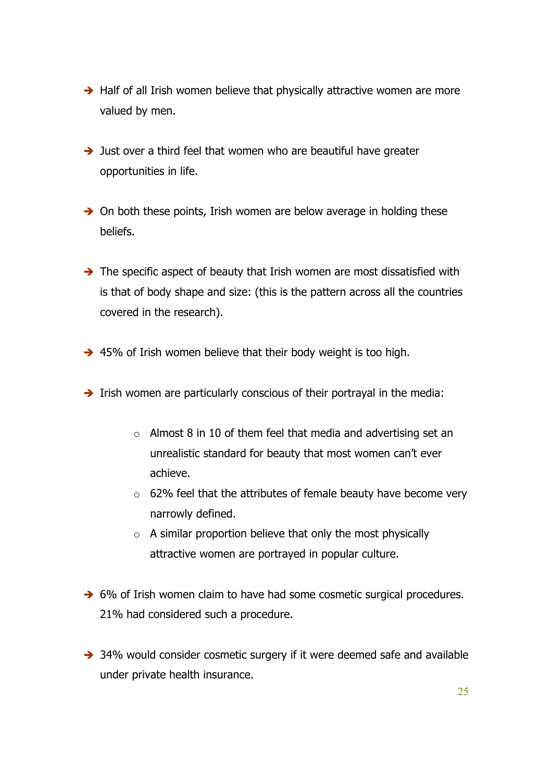- $\rightarrow$  Half of all Irish women believe that physically attractive women are more valued by men.
- $\rightarrow$  Just over a third feel that women who are beautiful have greater opportunities in life.
- $\rightarrow$  On both these points, Irish women are below average in holding these beliefs.
- $\rightarrow$  The specific aspect of beauty that Irish women are most dissatisfied with is that of body shape and size: (this is the pattern across all the countries covered in the research).
- $\rightarrow$  45% of Irish women believe that their body weight is too high.
- $\rightarrow$  Irish women are particularly conscious of their portrayal in the media:
	- $\circ$  Almost 8 in 10 of them feel that media and advertising set an unrealistic standard for beauty that most women can't ever achieve.
	- $\circ$  62% feel that the attributes of female beauty have become very narrowly defined.
	- $\circ$  A similar proportion believe that only the most physically attractive women are portrayed in popular culture.
- → 6% of Irish women claim to have had some cosmetic surgical procedures. 21% had considered such a procedure.
- → 34% would consider cosmetic surgery if it were deemed safe and available under private health insurance.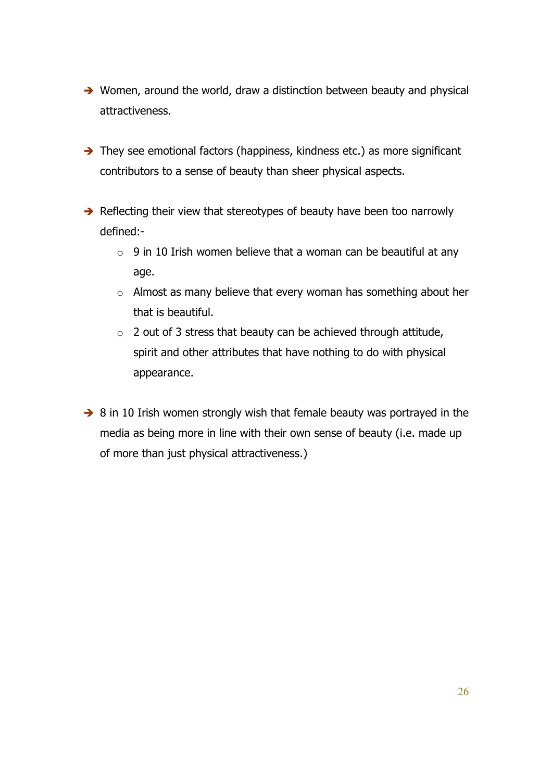- $\rightarrow$  Women, around the world, draw a distinction between beauty and physical attractiveness.
- $\rightarrow$  They see emotional factors (happiness, kindness etc.) as more significant contributors to a sense of beauty than sheer physical aspects.
- $\rightarrow$  Reflecting their view that stereotypes of beauty have been too narrowly defined:-
	- $\circ$  9 in 10 Irish women believe that a woman can be beautiful at any age.
	- o Almost as many believe that every woman has something about her that is beautiful.
	- o 2 out of 3 stress that beauty can be achieved through attitude, spirit and other attributes that have nothing to do with physical appearance.
- $\rightarrow$  8 in 10 Irish women strongly wish that female beauty was portrayed in the media as being more in line with their own sense of beauty (i.e. made up of more than just physical attractiveness.)